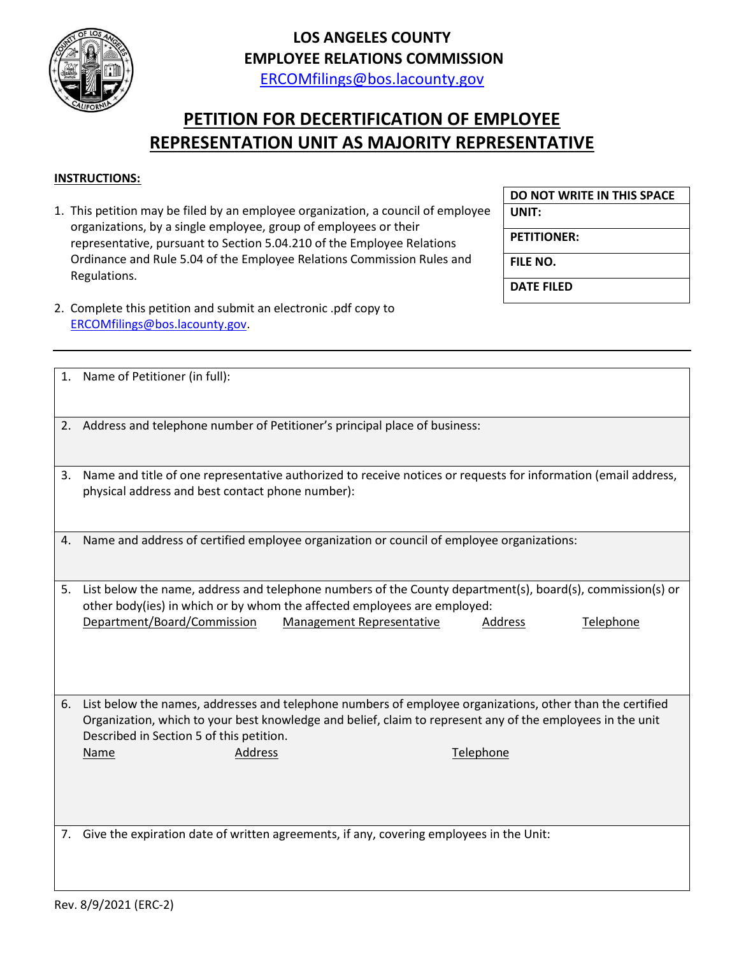

## **LOS ANGELES COUNTY EMPLOYEE RELATIONS COMMISSION**

[ERCOMfilings@bos.lacounty.gov](mailto:ERCOMfilings@bos.lacounty.gov)

## **PETITION FOR DECERTIFICATION OF EMPLOYEE REPRESENTATION UNIT AS MAJORITY REPRESENTATIVE**

## **INSTRUCTIONS:**

1. This petition may be filed by an employee organization, a council of employee organizations, by a single employee, group of employees or their representative, pursuant to Section 5.04.210 of the Employee Relations Ordinance and Rule 5.04 of the Employee Relations Commission Rules and Regulations.

**DO NOT WRITE IN THIS SPACE**

**UNIT:**

**PETITIONER:**

**FILE NO.**

**DATE FILED**

2. Complete this petition and submit an electronic .pdf copy to [ERCOMfilings@bos.lacounty.gov.](mailto:ERCOMfilings@bos.lacounty.gov)

|    | 1. Name of Petitioner (in full):                                                                                                                                                                                                                                                                              |
|----|---------------------------------------------------------------------------------------------------------------------------------------------------------------------------------------------------------------------------------------------------------------------------------------------------------------|
|    | 2. Address and telephone number of Petitioner's principal place of business:                                                                                                                                                                                                                                  |
| 3. | Name and title of one representative authorized to receive notices or requests for information (email address,<br>physical address and best contact phone number):                                                                                                                                            |
| 4. | Name and address of certified employee organization or council of employee organizations:                                                                                                                                                                                                                     |
| 5. | List below the name, address and telephone numbers of the County department(s), board(s), commission(s) or<br>other body(ies) in which or by whom the affected employees are employed:<br>Department/Board/Commission<br><b>Management Representative</b><br>Telephone<br>Address                             |
|    | 6. List below the names, addresses and telephone numbers of employee organizations, other than the certified<br>Organization, which to your best knowledge and belief, claim to represent any of the employees in the unit<br>Described in Section 5 of this petition.<br>Telephone<br>Address<br><b>Name</b> |
|    | 7. Give the expiration date of written agreements, if any, covering employees in the Unit:                                                                                                                                                                                                                    |